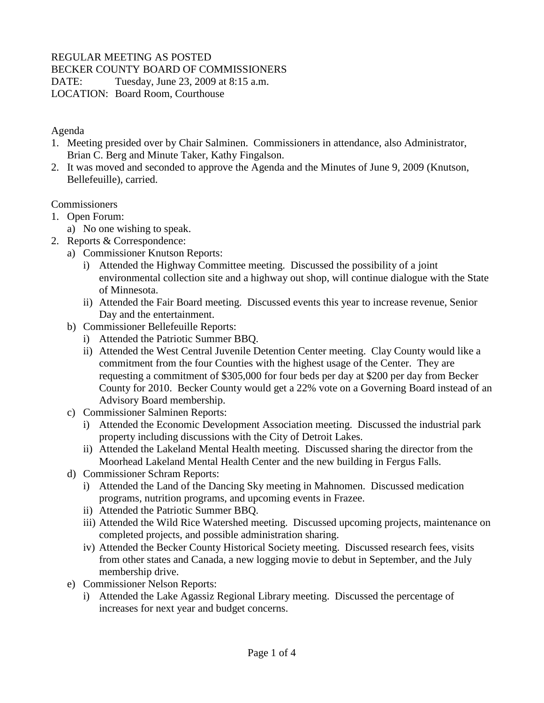# REGULAR MEETING AS POSTED

#### BECKER COUNTY BOARD OF COMMISSIONERS

DATE: Tuesday, June 23, 2009 at 8:15 a.m.

LOCATION: Board Room, Courthouse

#### Agenda

- 1. Meeting presided over by Chair Salminen. Commissioners in attendance, also Administrator, Brian C. Berg and Minute Taker, Kathy Fingalson.
- 2. It was moved and seconded to approve the Agenda and the Minutes of June 9, 2009 (Knutson, Bellefeuille), carried.

#### Commissioners

- 1. Open Forum:
	- a) No one wishing to speak.
- 2. Reports & Correspondence:
	- a) Commissioner Knutson Reports:
		- i) Attended the Highway Committee meeting. Discussed the possibility of a joint environmental collection site and a highway out shop, will continue dialogue with the State of Minnesota.
		- ii) Attended the Fair Board meeting. Discussed events this year to increase revenue, Senior Day and the entertainment.
	- b) Commissioner Bellefeuille Reports:
		- i) Attended the Patriotic Summer BBQ.
		- ii) Attended the West Central Juvenile Detention Center meeting. Clay County would like a commitment from the four Counties with the highest usage of the Center. They are requesting a commitment of \$305,000 for four beds per day at \$200 per day from Becker County for 2010. Becker County would get a 22% vote on a Governing Board instead of an Advisory Board membership.
	- c) Commissioner Salminen Reports:
		- i) Attended the Economic Development Association meeting. Discussed the industrial park property including discussions with the City of Detroit Lakes.
		- ii) Attended the Lakeland Mental Health meeting. Discussed sharing the director from the Moorhead Lakeland Mental Health Center and the new building in Fergus Falls.
	- d) Commissioner Schram Reports:
		- i) Attended the Land of the Dancing Sky meeting in Mahnomen. Discussed medication programs, nutrition programs, and upcoming events in Frazee.
		- ii) Attended the Patriotic Summer BBQ.
		- iii) Attended the Wild Rice Watershed meeting. Discussed upcoming projects, maintenance on completed projects, and possible administration sharing.
		- iv) Attended the Becker County Historical Society meeting. Discussed research fees, visits from other states and Canada, a new logging movie to debut in September, and the July membership drive.
	- e) Commissioner Nelson Reports:
		- i) Attended the Lake Agassiz Regional Library meeting. Discussed the percentage of increases for next year and budget concerns.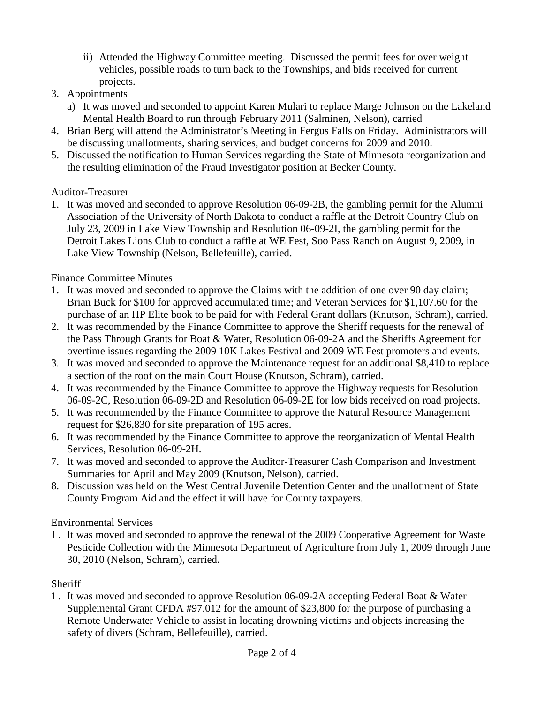- ii) Attended the Highway Committee meeting. Discussed the permit fees for over weight vehicles, possible roads to turn back to the Townships, and bids received for current projects.
- 3. Appointments
	- a) It was moved and seconded to appoint Karen Mulari to replace Marge Johnson on the Lakeland Mental Health Board to run through February 2011 (Salminen, Nelson), carried
- 4. Brian Berg will attend the Administrator's Meeting in Fergus Falls on Friday. Administrators will be discussing unallotments, sharing services, and budget concerns for 2009 and 2010.
- 5. Discussed the notification to Human Services regarding the State of Minnesota reorganization and the resulting elimination of the Fraud Investigator position at Becker County.

### Auditor-Treasurer

1. It was moved and seconded to approve Resolution 06-09-2B, the gambling permit for the Alumni Association of the University of North Dakota to conduct a raffle at the Detroit Country Club on July 23, 2009 in Lake View Township and Resolution 06-09-2I, the gambling permit for the Detroit Lakes Lions Club to conduct a raffle at WE Fest, Soo Pass Ranch on August 9, 2009, in Lake View Township (Nelson, Bellefeuille), carried.

# Finance Committee Minutes

- 1. It was moved and seconded to approve the Claims with the addition of one over 90 day claim; Brian Buck for \$100 for approved accumulated time; and Veteran Services for \$1,107.60 for the purchase of an HP Elite book to be paid for with Federal Grant dollars (Knutson, Schram), carried.
- 2. It was recommended by the Finance Committee to approve the Sheriff requests for the renewal of the Pass Through Grants for Boat & Water, Resolution 06-09-2A and the Sheriffs Agreement for overtime issues regarding the 2009 10K Lakes Festival and 2009 WE Fest promoters and events.
- 3. It was moved and seconded to approve the Maintenance request for an additional \$8,410 to replace a section of the roof on the main Court House (Knutson, Schram), carried.
- 4. It was recommended by the Finance Committee to approve the Highway requests for Resolution 06-09-2C, Resolution 06-09-2D and Resolution 06-09-2E for low bids received on road projects.
- 5. It was recommended by the Finance Committee to approve the Natural Resource Management request for \$26,830 for site preparation of 195 acres.
- 6. It was recommended by the Finance Committee to approve the reorganization of Mental Health Services, Resolution 06-09-2H.
- 7. It was moved and seconded to approve the Auditor-Treasurer Cash Comparison and Investment Summaries for April and May 2009 (Knutson, Nelson), carried.
- 8. Discussion was held on the West Central Juvenile Detention Center and the unallotment of State County Program Aid and the effect it will have for County taxpayers.

# Environmental Services

1 . It was moved and seconded to approve the renewal of the 2009 Cooperative Agreement for Waste Pesticide Collection with the Minnesota Department of Agriculture from July 1, 2009 through June 30, 2010 (Nelson, Schram), carried.

# **Sheriff**

1 . It was moved and seconded to approve Resolution 06-09-2A accepting Federal Boat & Water Supplemental Grant CFDA #97.012 for the amount of \$23,800 for the purpose of purchasing a Remote Underwater Vehicle to assist in locating drowning victims and objects increasing the safety of divers (Schram, Bellefeuille), carried.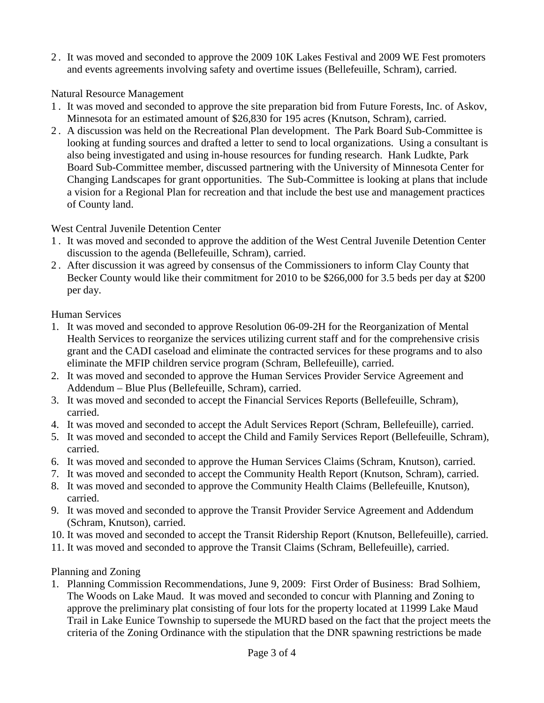2 . It was moved and seconded to approve the 2009 10K Lakes Festival and 2009 WE Fest promoters and events agreements involving safety and overtime issues (Bellefeuille, Schram), carried.

### Natural Resource Management

- 1 . It was moved and seconded to approve the site preparation bid from Future Forests, Inc. of Askov, Minnesota for an estimated amount of \$26,830 for 195 acres (Knutson, Schram), carried.
- 2 . A discussion was held on the Recreational Plan development. The Park Board Sub-Committee is looking at funding sources and drafted a letter to send to local organizations. Using a consultant is also being investigated and using in-house resources for funding research. Hank Ludkte, Park Board Sub-Committee member, discussed partnering with the University of Minnesota Center for Changing Landscapes for grant opportunities. The Sub-Committee is looking at plans that include a vision for a Regional Plan for recreation and that include the best use and management practices of County land.

### West Central Juvenile Detention Center

- 1 . It was moved and seconded to approve the addition of the West Central Juvenile Detention Center discussion to the agenda (Bellefeuille, Schram), carried.
- 2 . After discussion it was agreed by consensus of the Commissioners to inform Clay County that Becker County would like their commitment for 2010 to be \$266,000 for 3.5 beds per day at \$200 per day.

### Human Services

- 1. It was moved and seconded to approve Resolution 06-09-2H for the Reorganization of Mental Health Services to reorganize the services utilizing current staff and for the comprehensive crisis grant and the CADI caseload and eliminate the contracted services for these programs and to also eliminate the MFIP children service program (Schram, Bellefeuille), carried.
- 2. It was moved and seconded to approve the Human Services Provider Service Agreement and Addendum – Blue Plus (Bellefeuille, Schram), carried.
- 3. It was moved and seconded to accept the Financial Services Reports (Bellefeuille, Schram), carried.
- 4. It was moved and seconded to accept the Adult Services Report (Schram, Bellefeuille), carried.
- 5. It was moved and seconded to accept the Child and Family Services Report (Bellefeuille, Schram), carried.
- 6. It was moved and seconded to approve the Human Services Claims (Schram, Knutson), carried.
- 7. It was moved and seconded to accept the Community Health Report (Knutson, Schram), carried.
- 8. It was moved and seconded to approve the Community Health Claims (Bellefeuille, Knutson), carried.
- 9. It was moved and seconded to approve the Transit Provider Service Agreement and Addendum (Schram, Knutson), carried.
- 10. It was moved and seconded to accept the Transit Ridership Report (Knutson, Bellefeuille), carried.
- 11. It was moved and seconded to approve the Transit Claims (Schram, Bellefeuille), carried.

# Planning and Zoning

1. Planning Commission Recommendations, June 9, 2009: First Order of Business: Brad Solhiem, The Woods on Lake Maud. It was moved and seconded to concur with Planning and Zoning to approve the preliminary plat consisting of four lots for the property located at 11999 Lake Maud Trail in Lake Eunice Township to supersede the MURD based on the fact that the project meets the criteria of the Zoning Ordinance with the stipulation that the DNR spawning restrictions be made